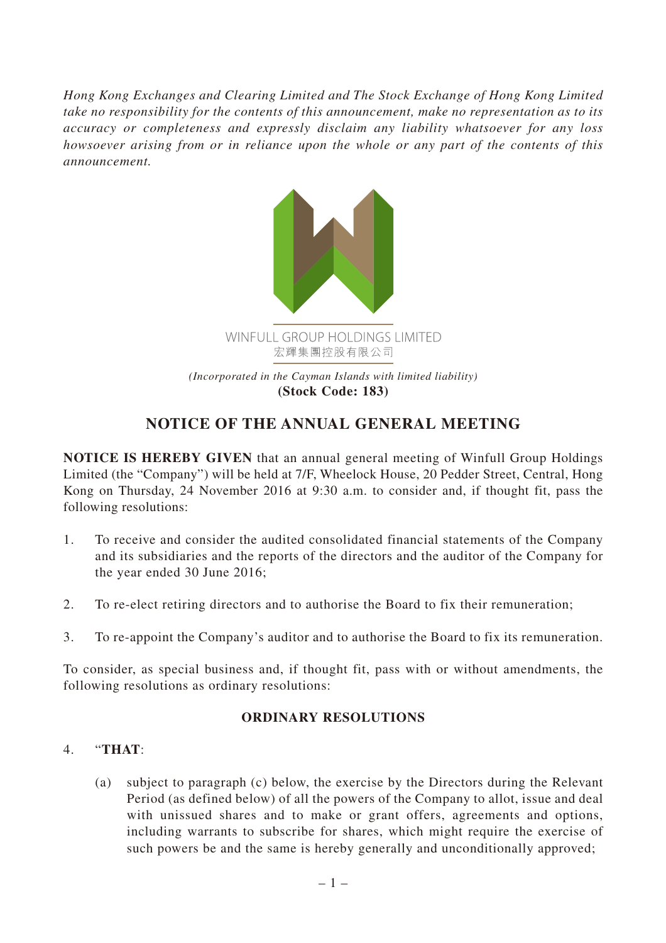*Hong Kong Exchanges and Clearing Limited and The Stock Exchange of Hong Kong Limited take no responsibility for the contents of this announcement, make no representation as to its accuracy or completeness and expressly disclaim any liability whatsoever for any loss howsoever arising from or in reliance upon the whole or any part of the contents of this announcement.*



## **NOTICE OF THE ANNUAL GENERAL MEETING**

**NOTICE IS HEREBY GIVEN** that an annual general meeting of Winfull Group Holdings Limited (the "Company") will be held at 7/F, Wheelock House, 20 Pedder Street, Central, Hong Kong on Thursday, 24 November 2016 at 9:30 a.m. to consider and, if thought fit, pass the following resolutions:

- 1. To receive and consider the audited consolidated financial statements of the Company and its subsidiaries and the reports of the directors and the auditor of the Company for the year ended 30 June 2016;
- 2. To re-elect retiring directors and to authorise the Board to fix their remuneration;
- 3. To re-appoint the Company's auditor and to authorise the Board to fix its remuneration.

To consider, as special business and, if thought fit, pass with or without amendments, the following resolutions as ordinary resolutions:

## **ORDINARY RESOLUTIONS**

## 4. "**THAT**:

(a) subject to paragraph (c) below, the exercise by the Directors during the Relevant Period (as defined below) of all the powers of the Company to allot, issue and deal with unissued shares and to make or grant offers, agreements and options, including warrants to subscribe for shares, which might require the exercise of such powers be and the same is hereby generally and unconditionally approved;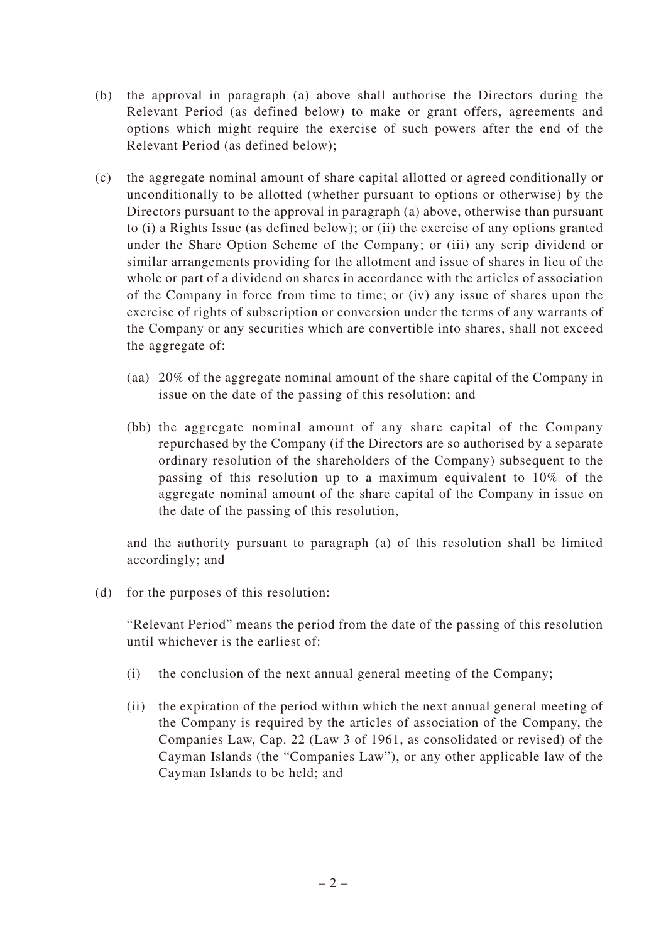- (b) the approval in paragraph (a) above shall authorise the Directors during the Relevant Period (as defined below) to make or grant offers, agreements and options which might require the exercise of such powers after the end of the Relevant Period (as defined below);
- (c) the aggregate nominal amount of share capital allotted or agreed conditionally or unconditionally to be allotted (whether pursuant to options or otherwise) by the Directors pursuant to the approval in paragraph (a) above, otherwise than pursuant to (i) a Rights Issue (as defined below); or (ii) the exercise of any options granted under the Share Option Scheme of the Company; or (iii) any scrip dividend or similar arrangements providing for the allotment and issue of shares in lieu of the whole or part of a dividend on shares in accordance with the articles of association of the Company in force from time to time; or (iv) any issue of shares upon the exercise of rights of subscription or conversion under the terms of any warrants of the Company or any securities which are convertible into shares, shall not exceed the aggregate of:
	- (aa) 20% of the aggregate nominal amount of the share capital of the Company in issue on the date of the passing of this resolution; and
	- (bb) the aggregate nominal amount of any share capital of the Company repurchased by the Company (if the Directors are so authorised by a separate ordinary resolution of the shareholders of the Company) subsequent to the passing of this resolution up to a maximum equivalent to 10% of the aggregate nominal amount of the share capital of the Company in issue on the date of the passing of this resolution,

and the authority pursuant to paragraph (a) of this resolution shall be limited accordingly; and

(d) for the purposes of this resolution:

"Relevant Period" means the period from the date of the passing of this resolution until whichever is the earliest of:

- (i) the conclusion of the next annual general meeting of the Company;
- (ii) the expiration of the period within which the next annual general meeting of the Company is required by the articles of association of the Company, the Companies Law, Cap. 22 (Law 3 of 1961, as consolidated or revised) of the Cayman Islands (the "Companies Law"), or any other applicable law of the Cayman Islands to be held; and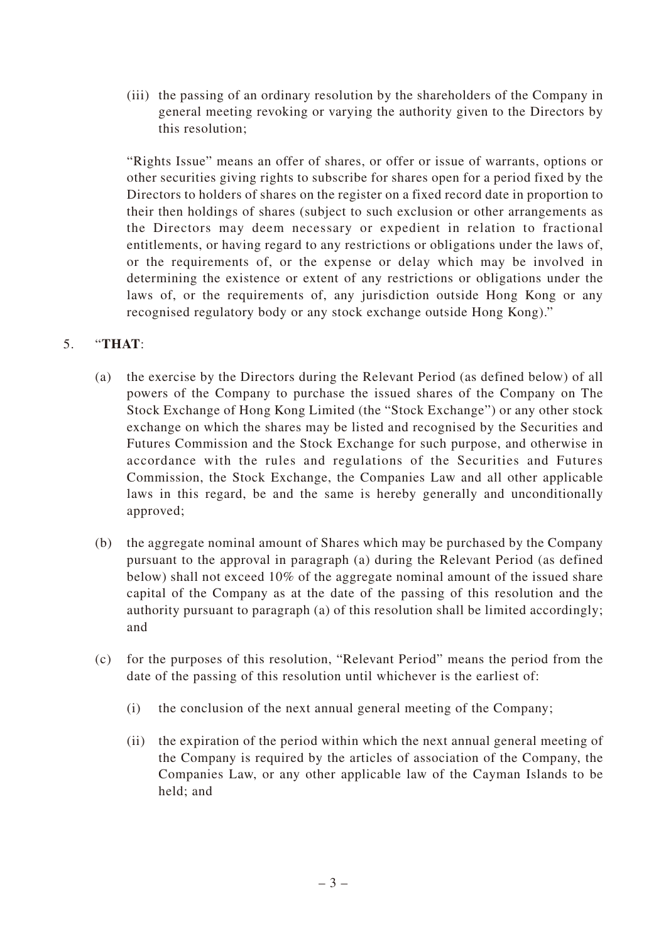(iii) the passing of an ordinary resolution by the shareholders of the Company in general meeting revoking or varying the authority given to the Directors by this resolution;

"Rights Issue" means an offer of shares, or offer or issue of warrants, options or other securities giving rights to subscribe for shares open for a period fixed by the Directors to holders of shares on the register on a fixed record date in proportion to their then holdings of shares (subject to such exclusion or other arrangements as the Directors may deem necessary or expedient in relation to fractional entitlements, or having regard to any restrictions or obligations under the laws of, or the requirements of, or the expense or delay which may be involved in determining the existence or extent of any restrictions or obligations under the laws of, or the requirements of, any jurisdiction outside Hong Kong or any recognised regulatory body or any stock exchange outside Hong Kong)."

## 5. "**THAT**:

- (a) the exercise by the Directors during the Relevant Period (as defined below) of all powers of the Company to purchase the issued shares of the Company on The Stock Exchange of Hong Kong Limited (the "Stock Exchange") or any other stock exchange on which the shares may be listed and recognised by the Securities and Futures Commission and the Stock Exchange for such purpose, and otherwise in accordance with the rules and regulations of the Securities and Futures Commission, the Stock Exchange, the Companies Law and all other applicable laws in this regard, be and the same is hereby generally and unconditionally approved;
- (b) the aggregate nominal amount of Shares which may be purchased by the Company pursuant to the approval in paragraph (a) during the Relevant Period (as defined below) shall not exceed 10% of the aggregate nominal amount of the issued share capital of the Company as at the date of the passing of this resolution and the authority pursuant to paragraph (a) of this resolution shall be limited accordingly; and
- (c) for the purposes of this resolution, "Relevant Period" means the period from the date of the passing of this resolution until whichever is the earliest of:
	- (i) the conclusion of the next annual general meeting of the Company;
	- (ii) the expiration of the period within which the next annual general meeting of the Company is required by the articles of association of the Company, the Companies Law, or any other applicable law of the Cayman Islands to be held; and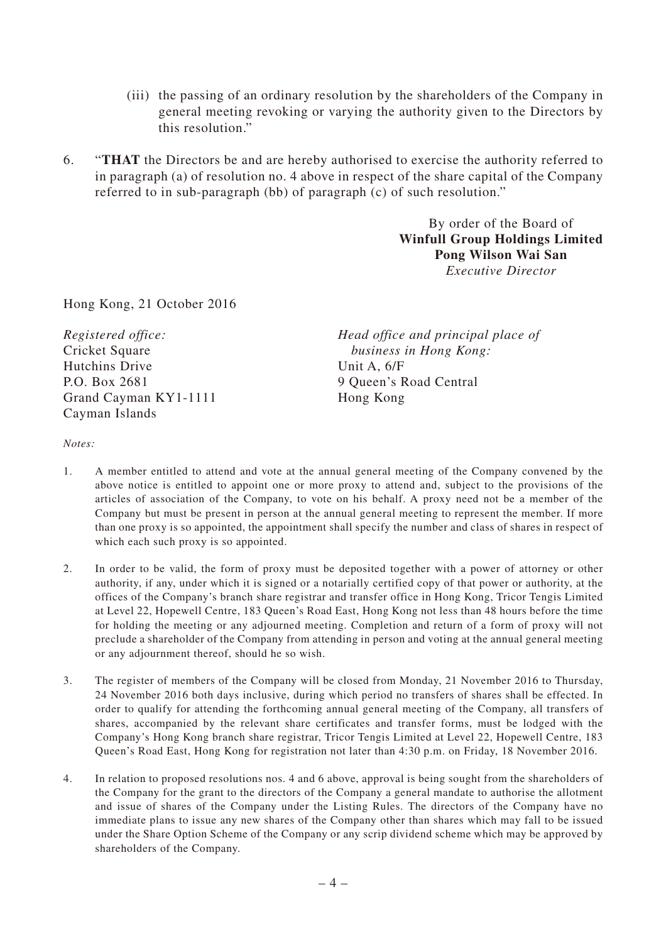- (iii) the passing of an ordinary resolution by the shareholders of the Company in general meeting revoking or varying the authority given to the Directors by this resolution."
- 6. "**THAT** the Directors be and are hereby authorised to exercise the authority referred to in paragraph (a) of resolution no. 4 above in respect of the share capital of the Company referred to in sub-paragraph (bb) of paragraph (c) of such resolution."

By order of the Board of **Winfull Group Holdings Limited Pong Wilson Wai San** *Executive Director*

Hong Kong, 21 October 2016

*Registered office:* Cricket Square Hutchins Drive P.O. Box 2681 Grand Cayman KY1-1111 Cayman Islands

*Head office and principal place of business in Hong Kong:* Unit A, 6/F 9 Queen's Road Central Hong Kong

*Notes:*

- 1. A member entitled to attend and vote at the annual general meeting of the Company convened by the above notice is entitled to appoint one or more proxy to attend and, subject to the provisions of the articles of association of the Company, to vote on his behalf. A proxy need not be a member of the Company but must be present in person at the annual general meeting to represent the member. If more than one proxy is so appointed, the appointment shall specify the number and class of shares in respect of which each such proxy is so appointed.
- 2. In order to be valid, the form of proxy must be deposited together with a power of attorney or other authority, if any, under which it is signed or a notarially certified copy of that power or authority, at the offices of the Company's branch share registrar and transfer office in Hong Kong, Tricor Tengis Limited at Level 22, Hopewell Centre, 183 Queen's Road East, Hong Kong not less than 48 hours before the time for holding the meeting or any adjourned meeting. Completion and return of a form of proxy will not preclude a shareholder of the Company from attending in person and voting at the annual general meeting or any adjournment thereof, should he so wish.
- 3. The register of members of the Company will be closed from Monday, 21 November 2016 to Thursday, 24 November 2016 both days inclusive, during which period no transfers of shares shall be effected. In order to qualify for attending the forthcoming annual general meeting of the Company, all transfers of shares, accompanied by the relevant share certificates and transfer forms, must be lodged with the Company's Hong Kong branch share registrar, Tricor Tengis Limited at Level 22, Hopewell Centre, 183 Queen's Road East, Hong Kong for registration not later than 4:30 p.m. on Friday, 18 November 2016.
- 4. In relation to proposed resolutions nos. 4 and 6 above, approval is being sought from the shareholders of the Company for the grant to the directors of the Company a general mandate to authorise the allotment and issue of shares of the Company under the Listing Rules. The directors of the Company have no immediate plans to issue any new shares of the Company other than shares which may fall to be issued under the Share Option Scheme of the Company or any scrip dividend scheme which may be approved by shareholders of the Company.